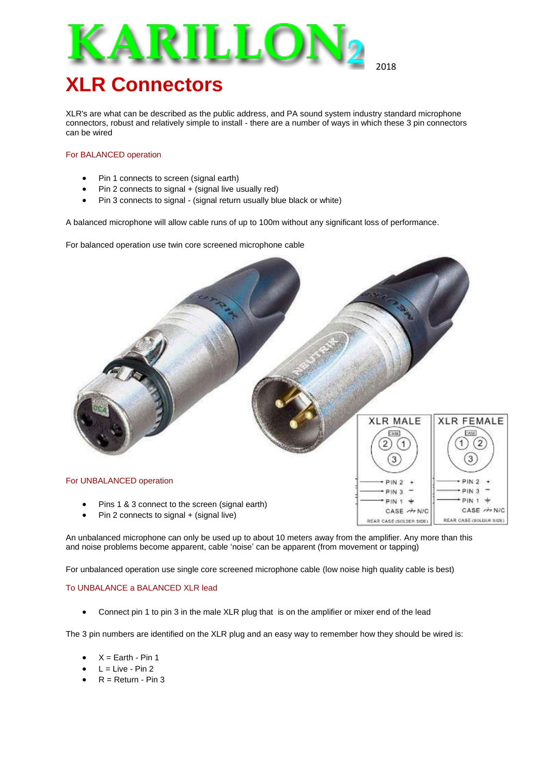

2018

REAR CASE (SOLDER SIDE)

**REAR CASE (SOLDER SIDE)** 

# **XLR Connectors**

XLR's are what can be described as the public address, and PA sound system industry standard microphone connectors, robust and relatively simple to install - there are a number of ways in which these 3 pin connectors can be wired

### For BALANCED operation

- Pin 1 connects to screen (signal earth)
- Pin 2 connects to signal + (signal live usually red)
- Pin 3 connects to signal (signal return usually blue black or white)

A balanced microphone will allow cable runs of up to 100m without any significant loss of performance.

For balanced operation use twin core screened microphone cable



Pin 2 connects to signal + (signal live)

An unbalanced microphone can only be used up to about 10 meters away from the amplifier. Any more than this and noise problems become apparent, cable 'noise' can be apparent (from movement or tapping)

For unbalanced operation use single core screened microphone cable (low noise high quality cable is best)

### To UNBALANCE a BALANCED XLR lead

Connect pin 1 to pin 3 in the male XLR plug that is on the amplifier or mixer end of the lead

The 3 pin numbers are identified on the XLR plug and an easy way to remember how they should be wired is:

- $X =$  Earth Pin 1
- $L =$  Live Pin 2
- $R =$  Return Pin 3